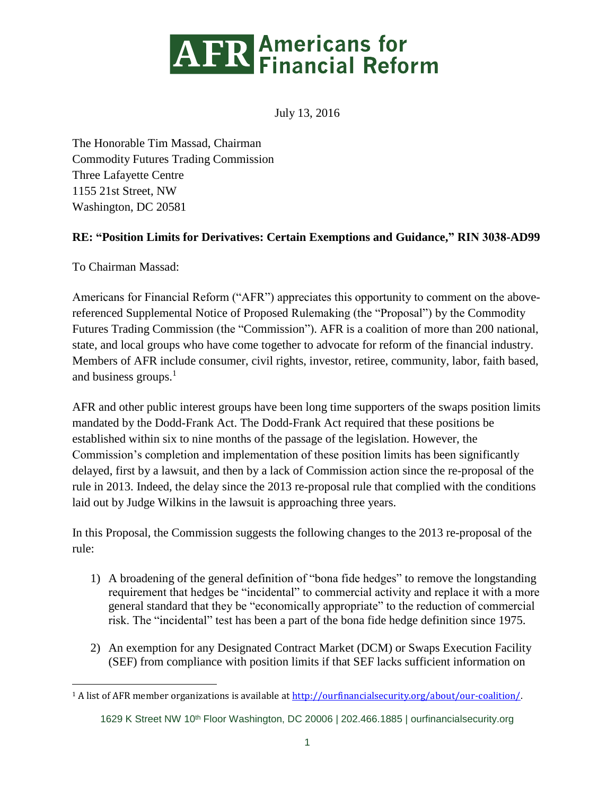

July 13, 2016

The Honorable Tim Massad, Chairman Commodity Futures Trading Commission Three Lafayette Centre 1155 21st Street, NW Washington, DC 20581

## **RE: "Position Limits for Derivatives: Certain Exemptions and Guidance," RIN 3038-AD99**

To Chairman Massad:

 $\overline{a}$ 

Americans for Financial Reform ("AFR") appreciates this opportunity to comment on the abovereferenced Supplemental Notice of Proposed Rulemaking (the "Proposal") by the Commodity Futures Trading Commission (the "Commission"). AFR is a coalition of more than 200 national, state, and local groups who have come together to advocate for reform of the financial industry. Members of AFR include consumer, civil rights, investor, retiree, community, labor, faith based, and business groups. 1

AFR and other public interest groups have been long time supporters of the swaps position limits mandated by the Dodd-Frank Act. The Dodd-Frank Act required that these positions be established within six to nine months of the passage of the legislation. However, the Commission's completion and implementation of these position limits has been significantly delayed, first by a lawsuit, and then by a lack of Commission action since the re-proposal of the rule in 2013. Indeed, the delay since the 2013 re-proposal rule that complied with the conditions laid out by Judge Wilkins in the lawsuit is approaching three years.

In this Proposal, the Commission suggests the following changes to the 2013 re-proposal of the rule:

- 1) A broadening of the general definition of "bona fide hedges" to remove the longstanding requirement that hedges be "incidental" to commercial activity and replace it with a more general standard that they be "economically appropriate" to the reduction of commercial risk. The "incidental" test has been a part of the bona fide hedge definition since 1975.
- 2) An exemption for any Designated Contract Market (DCM) or Swaps Execution Facility (SEF) from compliance with position limits if that SEF lacks sufficient information on

<sup>&</sup>lt;sup>1</sup> A list of AFR member organizations is available at [http://ourfinancialsecurity.org/about/our-coalition/.](http://ourfinancialsecurity.org/about/our-coalition/)

<sup>1629</sup> K Street NW 10<sup>th</sup> Floor Washington, DC 20006 | 202.466.1885 | [ourfinancialsecurity.org](file:///C:/Users/EKilroy/Downloads/ourfinancialsecurity.org)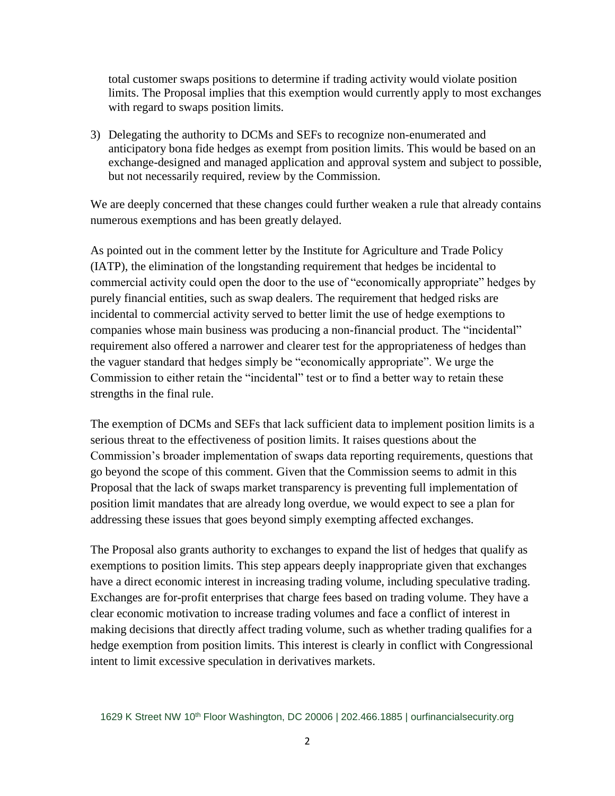total customer swaps positions to determine if trading activity would violate position limits. The Proposal implies that this exemption would currently apply to most exchanges with regard to swaps position limits.

3) Delegating the authority to DCMs and SEFs to recognize non-enumerated and anticipatory bona fide hedges as exempt from position limits. This would be based on an exchange-designed and managed application and approval system and subject to possible, but not necessarily required, review by the Commission.

We are deeply concerned that these changes could further weaken a rule that already contains numerous exemptions and has been greatly delayed.

As pointed out in the comment letter by the Institute for Agriculture and Trade Policy (IATP), the elimination of the longstanding requirement that hedges be incidental to commercial activity could open the door to the use of "economically appropriate" hedges by purely financial entities, such as swap dealers. The requirement that hedged risks are incidental to commercial activity served to better limit the use of hedge exemptions to companies whose main business was producing a non-financial product. The "incidental" requirement also offered a narrower and clearer test for the appropriateness of hedges than the vaguer standard that hedges simply be "economically appropriate". We urge the Commission to either retain the "incidental" test or to find a better way to retain these strengths in the final rule.

The exemption of DCMs and SEFs that lack sufficient data to implement position limits is a serious threat to the effectiveness of position limits. It raises questions about the Commission's broader implementation of swaps data reporting requirements, questions that go beyond the scope of this comment. Given that the Commission seems to admit in this Proposal that the lack of swaps market transparency is preventing full implementation of position limit mandates that are already long overdue, we would expect to see a plan for addressing these issues that goes beyond simply exempting affected exchanges.

The Proposal also grants authority to exchanges to expand the list of hedges that qualify as exemptions to position limits. This step appears deeply inappropriate given that exchanges have a direct economic interest in increasing trading volume, including speculative trading. Exchanges are for-profit enterprises that charge fees based on trading volume. They have a clear economic motivation to increase trading volumes and face a conflict of interest in making decisions that directly affect trading volume, such as whether trading qualifies for a hedge exemption from position limits. This interest is clearly in conflict with Congressional intent to limit excessive speculation in derivatives markets.

1629 K Street NW 10<sup>th</sup> Floor Washington, DC 20006 | 202.466.1885 | [ourfinancialsecurity.org](file:///C:/Users/EKilroy/Downloads/ourfinancialsecurity.org)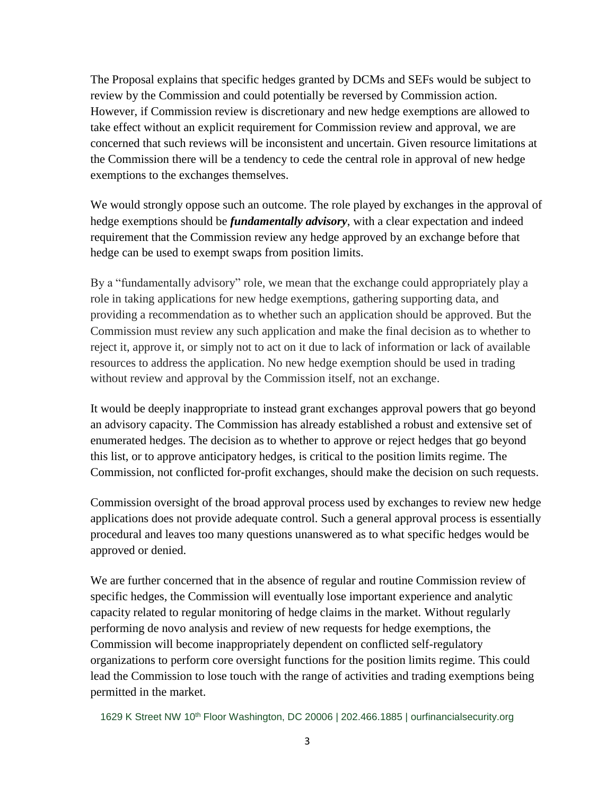The Proposal explains that specific hedges granted by DCMs and SEFs would be subject to review by the Commission and could potentially be reversed by Commission action. However, if Commission review is discretionary and new hedge exemptions are allowed to take effect without an explicit requirement for Commission review and approval, we are concerned that such reviews will be inconsistent and uncertain. Given resource limitations at the Commission there will be a tendency to cede the central role in approval of new hedge exemptions to the exchanges themselves.

We would strongly oppose such an outcome. The role played by exchanges in the approval of hedge exemptions should be *fundamentally advisory*, with a clear expectation and indeed requirement that the Commission review any hedge approved by an exchange before that hedge can be used to exempt swaps from position limits.

By a "fundamentally advisory" role, we mean that the exchange could appropriately play a role in taking applications for new hedge exemptions, gathering supporting data, and providing a recommendation as to whether such an application should be approved. But the Commission must review any such application and make the final decision as to whether to reject it, approve it, or simply not to act on it due to lack of information or lack of available resources to address the application. No new hedge exemption should be used in trading without review and approval by the Commission itself, not an exchange.

It would be deeply inappropriate to instead grant exchanges approval powers that go beyond an advisory capacity. The Commission has already established a robust and extensive set of enumerated hedges. The decision as to whether to approve or reject hedges that go beyond this list, or to approve anticipatory hedges, is critical to the position limits regime. The Commission, not conflicted for-profit exchanges, should make the decision on such requests.

Commission oversight of the broad approval process used by exchanges to review new hedge applications does not provide adequate control. Such a general approval process is essentially procedural and leaves too many questions unanswered as to what specific hedges would be approved or denied.

We are further concerned that in the absence of regular and routine Commission review of specific hedges, the Commission will eventually lose important experience and analytic capacity related to regular monitoring of hedge claims in the market. Without regularly performing de novo analysis and review of new requests for hedge exemptions, the Commission will become inappropriately dependent on conflicted self-regulatory organizations to perform core oversight functions for the position limits regime. This could lead the Commission to lose touch with the range of activities and trading exemptions being permitted in the market.

1629 K Street NW 10<sup>th</sup> Floor Washington, DC 20006 | 202.466.1885 | [ourfinancialsecurity.org](file:///C:/Users/EKilroy/Downloads/ourfinancialsecurity.org)